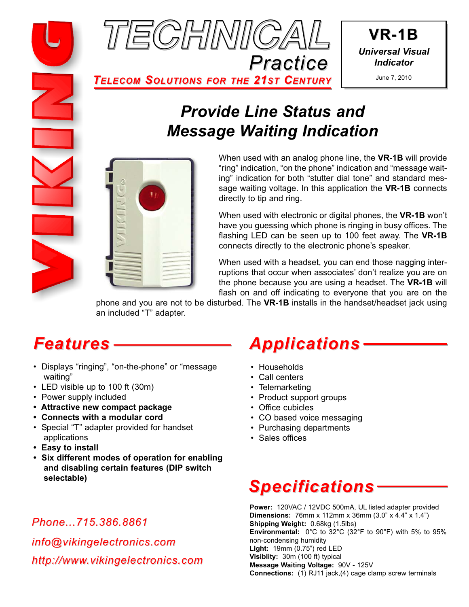

**VR-1B** *Universal Visual Indicator*

*TELECOM SOLUTIONS FOR THE 21ST CENTURY*

# *Provide Line Status and Message Waiting Indication*



When used with an analog phone line, the **VR-1B** will provide "ring" indication, "on the phone" indication and "message waiting" indication for both "stutter dial tone" and standard message waiting voltage. In this application the **VR-1B** connects directly to tip and ring.

When used with electronic or digital phones, the **VR-1B** won't have you guessing which phone is ringing in busy offices. The flashing LED can be seen up to 100 feet away. The **VR-1B** connects directly to the electronic phone's speaker.

When used with a headset, you can end those nagging interruptions that occur when associates' don't realize you are on the phone because you are using a headset. The **VR-1B** will flash on and off indicating to everyone that you are on the

phone and you are not to be disturbed. The **VR-1B** installs in the handset/headset jack using an included "T" adapter.

# *Features*

- Displays "ringing", "on-the-phone" or "message waiting"
- LED visible up to 100 ft (30m)
- Power supply included
- **Attractive new compact package**
- **Connects with a modular cord**
- Special "T" adapter provided for handset applications
- **Easy to install**
- **Six different modes of operation for enabling and disabling certain features (DIP switch selectable)**

### *Phone...715.386.8861*

*info@vikingelectronics.com http://www.vikingelectronics.com*

# *Applications*

- Households
- Call centers
- Telemarketing
- Product support groups
- Office cubicles
- CO based voice messaging
- Purchasing departments
- Sales offices

# *Specifications*

**Power:** 120VAC / 12VDC 500mA, UL listed adapter provided **Dimensions:** 76mm x 112mm x 36mm (3.0" x 4.4" x 1.4") **Shipping Weight:** 0.68kg (1.5lbs) **Environmental:** 0°C to 32°C (32°F to 90°F) with 5% to 95% non-condensing humidity **Light:** 19mm (0.75") red LED **Visiblity:** 30m (100 ft) typical **Message Waiting Voltage:** 90V - 125V **Connections:** (1) RJ11 jack,(4) cage clamp screw terminals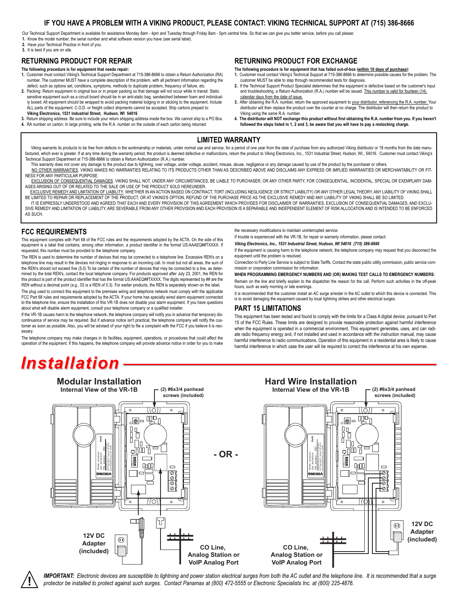### **IF YOU HAVE A PROBLEM WITH A VIKING PRODUCT, PLEASE CONTACT: VIKING TECHNICAL SUPPORT AT (715) 386-8666**

Our Technical Support Department is available for assistance Monday 8am - 4pm and Tuesday through Friday 8am - 5pm central time. So that we can give you better service, before you call please: **1.** Know the model number, the serial number and what software version you have (see serial label).

**2.** Have your Technical Practice in front of you.

**3.** It is best if you are on site.

### **RETURNING PRODUCT FOR REPAIR**

#### **The following procedure is for equipment that needs repair:**

- **1.** Customer must contact Viking's Technical Support Department at 715-386-8666 to obtain a Return Authorization (RA) number. The customer MUST have a complete description of the problem, with all pertinent information regarding the defect, such as options set, conditions, symptoms, methods to duplicate problem, frequency of failure, etc.
- **2.** Packing: Return equipment in original box or in proper packing so that damage will not occur while in transit. Static sensitive equipment such as a circuit board should be in an anti-static bag, sandwiched between foam and individually boxed. All equipment should be wrapped to avoid packing material lodging in or sticking to the equipment. Include<br>ALL parts of the equipment. C.O.D. or freight collect shipments cannot be accepted. Ship cartons prepaid **Viking Electronics, 1531 Industrial Street, Hudson, WI 54016**
- **3.** Return shipping address: Be sure to include your return shipping address inside the box. We cannot ship to a PO Box. **4.** RA number on carton: In large printing, write the R.A. number on the outside of each carton being returned.

#### **RETURNING PRODUCT FOR EXCHANGE**

**The following procedure is for equipment that has failed out-of-box (within 10 days of purchase):**

- **1.** Customer must contact Viking's Technical Support at 715-386-8666 to determine possible causes for the problem. The customer MUST be able to step through recommended tests for diagnosis.
- **2.** If the Technical Support Product Specialist determines that the equipment is defective based on the customer's input and troubleshooting, a Return Authorization (R.A.) number will be issued. This number is valid for fourteen (14) calendar days from the date of issue.
- 3. After obtaining the R.A. number, return the approved equipment to your distributor, referencing the R.A. number. Your<br>distributor will then replace the product over the counter at no charge. The distributor will then re Viking using the same R.A. number.
- **4. The distributor will NOT exchange this product without first obtaining the R.A. number from you. If you haven't followed the steps listed in 1, 2 and 3, be aware that you will have to pay a restocking charge.**

#### **LIMITED WARRANTY**

Viking warrants its products to be free from defects in the workmanship or materials, under normal use and service, for a period of one year from the date of purchase from any authorized Viking distributor or 18 months fro factured, which ever is greater. If at any time during the warranty period, the product is deemed defective or malfunctions, return the product to Viking Electronics, Inc., 1531 Industrial Street, Hudson, WI., 54016. Custo Technical Support Department at 715-386-8666 to obtain a Return Authorization (R.A.) number.

- This warranty does not cover any damage to the product due to lightning, over voltage, under voltage, accident, misuse, abuse, negligence or any damage caused by use of the product by the purchaser or others. NO OTHER WARRANTIES. VIKING MAKES NO WARRANTIES RELATING TO ITS PRODUCTS OTHER THAN AS DESCRIBED ABOVE AND DISCLAIMS ANY EXPRESS OR IMPLIED WARRANTIES OR MERCHANTABILITY OR FIT-NESS FOR ANY PARTICULAR PURPOSE
- EXCLUSION OF CONSEQUENTIAL DAMAGES, VIKING SHALL NOT, UNDER ANY CIRCUMSTANCES, BE LIABLE TO PURCHASER, OR ANY OTHER PARTY, FOR CONSEQUENTIAL, INCIDENTAL, SPECIAL OR EXEMPLARY DAM-AGES ARISING OUT OF OR RELATED TO THE SALE OR USE OF THE PRODUCT SOLD HEREUNDER.
- EXCLUSIVE REMEDY AND LIMITATION OF LIABILITY. WHETHER IN AN ACTION BASED ON CONTRACT, TORT (INCLUDING NEGLIGENCE OR STRICT LIABILITY) OR ANY OTHER LEGAL THEORY, ANY LIABILITY OF VIKING SHALL BE LIMITED TO REPAIR OR REPLACEMENT OF THE PRODUCT, OR AT VIKING'S OPTION, REFUND OF THE PURCHASE PRICE AS THE EXCLUSIVE REMEDY AND ANY LIABILITY OF VIKING SHALL BE SO LIMITED.
- IT IS EXPRESSLY UNDERSTOOD AND AGREED THAT EACH AND EVERY PROVISION OF THIS AGREEMENT WHICH PROVIDES FOR DISCLAIMER OF WARRANTIES, EXCLUSION OF CONSEQUENTIAL DAMAGES, AND EXCLU-SIVE REMEDY AND LIMITATION OF LIABILITY, ARE SEVERABLE FROM ANY OTHER PROVISION AND EACH PROVISION IS A SEPARABLE AND INDEPENDENT ELEMENT OF RISK ALLOCATION AND IS INTENDED TO BE ENFORCED AS SUCH.

#### **FCC REQUIREMENTS**

This equipment complies with Part 68 of the FCC rules and the requirements adopted by the ACTA. On the side of this equipment is a label that contains, among other information, a product identifier in the format US:AAAEQ##TXXXX. If requested, this number must be provided to the telephone company.

The REN is used to determine the number of devices that may be connected to a telephone line. Excessive REN's on a telephone line may result in the devices not ringing in response to an incoming call. In most but not all areas, the sum of the REN's should not exceed five (5.0) To be certain of the number of devices that may be connected to a line, as determined by the total REN's, contact the local telephone company. For products approved after July 23, 2001, the REN for this product is part of the product identifier that has the format US:AAAEQ##TXXXX. The digits represented by ## are the REN without a decimal point (*e.g*., 03 is a REN of 0.3). For earlier products, the REN is separately shown on the label.

The plug used to connect this equipment to the premises wiring and telephone network must comply with the applicable FCC Part 68 rules and requirements adopted by the ACTA. If your home has specially wired alarm equipment connected to the telephone line, ensure the installation of this VR-1B does not disable your alarm equipment. If you have questions about what will disable alarm equipment, consult your telephone company or a qualified installer.

If the VR-1B causes harm to the telephone network, the telephone company will notify you in advance that temporary discontinuance of service may be required. But if advance notice isn't practical, the telephone company will notify the customer as soon as possible. Also, you will be advised of your right to file a complaint with the FCC if you believe it is necessary.

The telephone company may make changes in its facilities, equipment, operations, or procedures that could affect the operation of the equipment. If this happens, the telephone company will provide advance notice in order for you to make the necessary modifications to maintain uninterrupted service.

If trouble is experienced with the VR-1B, for repair or warranty information, please contact:

*Viking Electronics, Inc., 1531 Industrial Street, Hudson, WI 54016 (715) 386-8666*

If the equipment is causing harm to the telephone network, the telephone company may request that you disconnect the equipment until the problem is resolved.

Connection to Party Line Service is subject to State Tariffs. Contact the state public utility commission, public service commission or corporation commission for information.

**WHEN PROGRAMMING EMERGENCY NUMBERS AND (OR) MAKING TEST CALLS TO EMERGENCY NUMBERS:**

Remain on the line and briefly explain to the dispatcher the reason for the call. Perform such activities in the off-peak hours, such as early morning or late evenings.

It is recommended that the customer install an AC surge arrester in the AC outlet to which this device is connected. This is to avoid damaging the equipment caused by local lightning strikes and other electrical surges.

#### **PART 15 LIMITATIONS**

This equipment has been tested and found to comply with the limits for a Class A digital device, pursuant to Part 15 of the FCC Rules. These limits are designed to provide reasonable protection against harmful interference when the equipment is operated in a commercial environment. This equipment generates, uses, and can radiate radio frequency energy and, if not installed and used in accordance with the instruction manual, may cause harmful interference to radio communications. Operation of this equipment in a residential area is likely to cause harmful interference in which case the user will be required to correct the interference at his own expense.

## *Installation*



IMPORTANT: Electronic devices are susceptible to lightning and power station electrical surges from both the AC outlet and the telephone line. It is recommended that a surge<br>protector be installed to protect against such s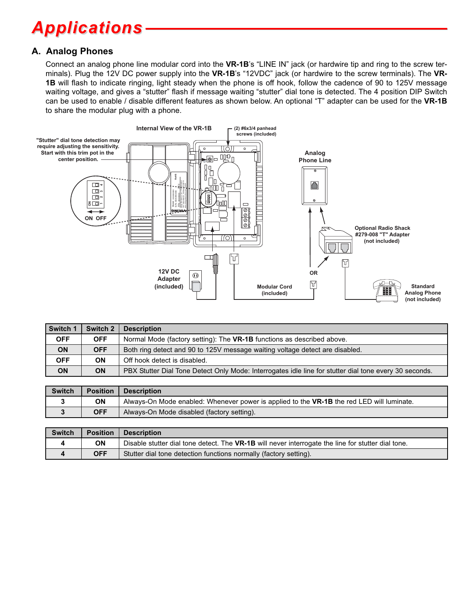# *Applications*

### **A. Analog Phones**

Connect an analog phone line modular cord into the **VR-1B**'s "LINE IN" jack (or hardwire tip and ring to the screw terminals). Plug the 12V DC power supply into the **VR-1B**'s "12VDC" jack (or hardwire to the screw terminals). The **VR-1B** will flash to indicate ringing, light steady when the phone is off hook, follow the cadence of 90 to 125V message waiting voltage, and gives a "stutter" flash if message waiting "stutter" dial tone is detected. The 4 position DIP Switch can be used to enable / disable different features as shown below. An optional "T" adapter can be used for the **VR-1B** to share the modular plug with a phone.



| Switch 1   | Switch 2   | <b>Description</b>                                                                                     |
|------------|------------|--------------------------------------------------------------------------------------------------------|
| <b>OFF</b> | <b>OFF</b> | Normal Mode (factory setting): The <b>VR-1B</b> functions as described above.                          |
| <b>ON</b>  | <b>OFF</b> | Both ring detect and 90 to 125V message waiting voltage detect are disabled.                           |
| <b>OFF</b> | <b>ON</b>  | Off hook detect is disabled.                                                                           |
| <b>ON</b>  | ON         | PBX Stutter Dial Tone Detect Only Mode: Interrogates idle line for stutter dial tone every 30 seconds. |

| <b>Switch</b> | <b>Position</b> | <b>Description</b>                                                                               |
|---------------|-----------------|--------------------------------------------------------------------------------------------------|
|               | ΟN              | Always-On Mode enabled: Whenever power is applied to the <b>VR-1B</b> the red LED will luminate. |
|               | <b>OFF</b>      | Always-On Mode disabled (factory setting).                                                       |

| <b>Switch</b> | <b>Position</b> | <b>Description</b>                                                                                 |
|---------------|-----------------|----------------------------------------------------------------------------------------------------|
|               | ΟN              | Disable stutter dial tone detect. The VR-1B will never interrogate the line for stutter dial tone. |
|               | <b>OFF</b>      | Stutter dial tone detection functions normally (factory setting).                                  |